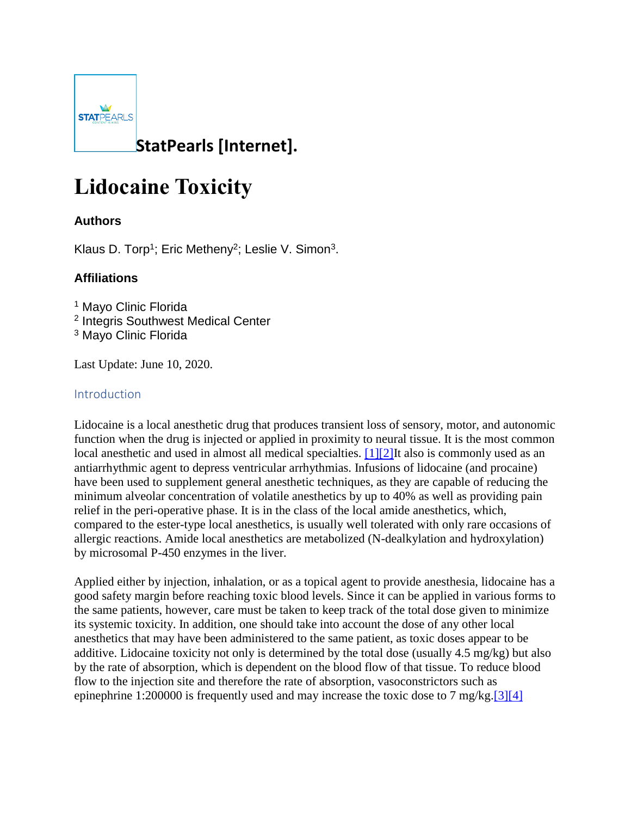

# **Lidocaine Toxicity**

## **Authors**

Klaus D. Torp<sup>1</sup>; Eric Metheny<sup>2</sup>; Leslie V. Simon<sup>3</sup>.

## **Affiliations**

<sup>1</sup> Mayo Clinic Florida <sup>2</sup> Integris Southwest Medical Center <sup>3</sup> Mayo Clinic Florida

Last Update: June 10, 2020.

## Introduction

Lidocaine is a local anesthetic drug that produces transient loss of sensory, motor, and autonomic function when the drug is injected or applied in proximity to neural tissue. It is the most common local anesthetic and used in almost all medical specialties. [1][2] It also is commonly used as an antiarrhythmic agent to depress ventricular arrhythmias. Infusions of lidocaine (and procaine) have been used to supplement general anesthetic techniques, as they are capable of reducing the minimum alveolar concentration of volatile anesthetics by up to 40% as well as providing pain relief in the peri-operative phase. It is in the class of the local amide anesthetics, which, compared to the ester-type local anesthetics, is usually well tolerated with only rare occasions of allergic reactions. Amide local anesthetics are metabolized (N-dealkylation and hydroxylation) by microsomal P-450 enzymes in the liver.

Applied either by injection, inhalation, or as a topical agent to provide anesthesia, lidocaine has a good safety margin before reaching toxic blood levels. Since it can be applied in various forms to the same patients, however, care must be taken to keep track of the total dose given to minimize its systemic toxicity. In addition, one should take into account the dose of any other local anesthetics that may have been administered to the same patient, as toxic doses appear to be additive. Lidocaine toxicity not only is determined by the total dose (usually 4.5 mg/kg) but also by the rate of absorption, which is dependent on the blood flow of that tissue. To reduce blood flow to the injection site and therefore the rate of absorption, vasoconstrictors such as epinephrine 1:200000 is frequently used and may increase the toxic dose to 7 mg/kg.<sup>[3][4]</sup>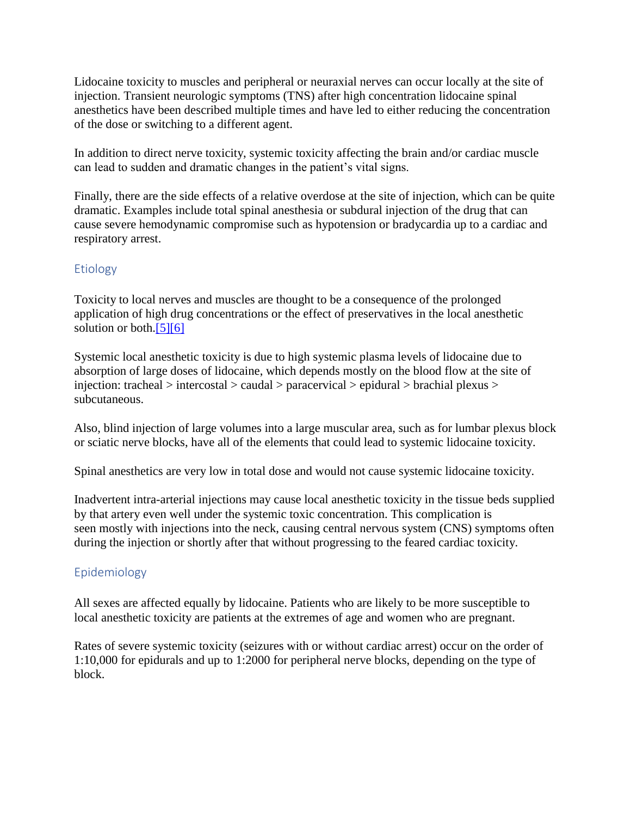Lidocaine toxicity to muscles and peripheral or neuraxial nerves can occur locally at the site of injection. Transient neurologic symptoms (TNS) after high concentration lidocaine spinal anesthetics have been described multiple times and have led to either reducing the concentration of the dose or switching to a different agent.

In addition to direct nerve toxicity, systemic toxicity affecting the brain and/or cardiac muscle can lead to sudden and dramatic changes in the patient's vital signs.

Finally, there are the side effects of a relative overdose at the site of injection, which can be quite dramatic. Examples include total spinal anesthesia or subdural injection of the drug that can cause severe hemodynamic compromise such as hypotension or bradycardia up to a cardiac and respiratory arrest.

#### **Etiology**

Toxicity to local nerves and muscles are thought to be a consequence of the prolonged application of high drug concentrations or the effect of preservatives in the local anesthetic solution or both.<sup>[5][6]</sup>

Systemic local anesthetic toxicity is due to high systemic plasma levels of lidocaine due to absorption of large doses of lidocaine, which depends mostly on the blood flow at the site of injection: tracheal > intercostal > caudal > paracervical > epidural > brachial plexus > subcutaneous.

Also, blind injection of large volumes into a large muscular area, such as for lumbar plexus block or sciatic nerve blocks, have all of the elements that could lead to systemic lidocaine toxicity.

Spinal anesthetics are very low in total dose and would not cause systemic lidocaine toxicity.

Inadvertent intra-arterial injections may cause local anesthetic toxicity in the tissue beds supplied by that artery even well under the systemic toxic concentration. This complication is seen mostly with injections into the neck, causing central nervous system (CNS) symptoms often during the injection or shortly after that without progressing to the feared cardiac toxicity.

## Epidemiology

All sexes are affected equally by lidocaine. Patients who are likely to be more susceptible to local anesthetic toxicity are patients at the extremes of age and women who are pregnant.

Rates of severe systemic toxicity (seizures with or without cardiac arrest) occur on the order of 1:10,000 for epidurals and up to 1:2000 for peripheral nerve blocks, depending on the type of block.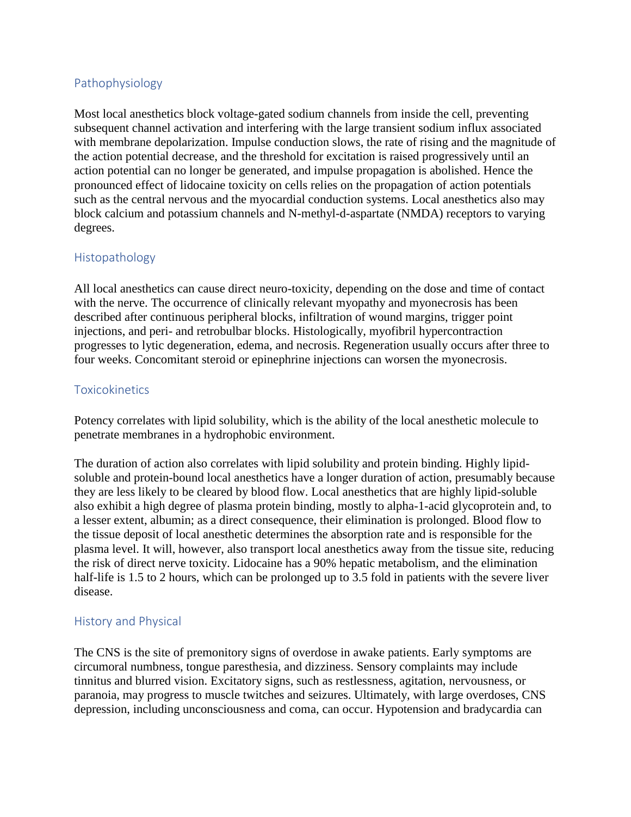#### Pathophysiology

Most local anesthetics block voltage-gated sodium channels from inside the cell, preventing subsequent channel activation and interfering with the large transient sodium influx associated with membrane depolarization. Impulse conduction slows, the rate of rising and the magnitude of the action potential decrease, and the threshold for excitation is raised progressively until an action potential can no longer be generated, and impulse propagation is abolished. Hence the pronounced effect of lidocaine toxicity on cells relies on the propagation of action potentials such as the central nervous and the myocardial conduction systems. Local anesthetics also may block calcium and potassium channels and N-methyl-d-aspartate (NMDA) receptors to varying degrees.

#### Histopathology

All local anesthetics can cause direct neuro-toxicity, depending on the dose and time of contact with the nerve. The occurrence of clinically relevant myopathy and myonecrosis has been described after continuous peripheral blocks, infiltration of wound margins, trigger point injections, and peri- and retrobulbar blocks. Histologically, myofibril hypercontraction progresses to lytic degeneration, edema, and necrosis. Regeneration usually occurs after three to four weeks. Concomitant steroid or epinephrine injections can worsen the myonecrosis.

#### **Toxicokinetics**

Potency correlates with lipid solubility, which is the ability of the local anesthetic molecule to penetrate membranes in a hydrophobic environment.

The duration of action also correlates with lipid solubility and protein binding. Highly lipidsoluble and protein-bound local anesthetics have a longer duration of action, presumably because they are less likely to be cleared by blood flow. Local anesthetics that are highly lipid-soluble also exhibit a high degree of plasma protein binding, mostly to alpha-1-acid glycoprotein and, to a lesser extent, albumin; as a direct consequence, their elimination is prolonged. Blood flow to the tissue deposit of local anesthetic determines the absorption rate and is responsible for the plasma level. It will, however, also transport local anesthetics away from the tissue site, reducing the risk of direct nerve toxicity. Lidocaine has a 90% hepatic metabolism, and the elimination half-life is 1.5 to 2 hours, which can be prolonged up to 3.5 fold in patients with the severe liver disease.

#### History and Physical

The CNS is the site of premonitory signs of overdose in awake patients. Early symptoms are circumoral numbness, tongue paresthesia, and dizziness. Sensory complaints may include tinnitus and blurred vision. Excitatory signs, such as restlessness, agitation, nervousness, or paranoia, may progress to muscle twitches and seizures. Ultimately, with large overdoses, CNS depression, including unconsciousness and coma, can occur. Hypotension and bradycardia can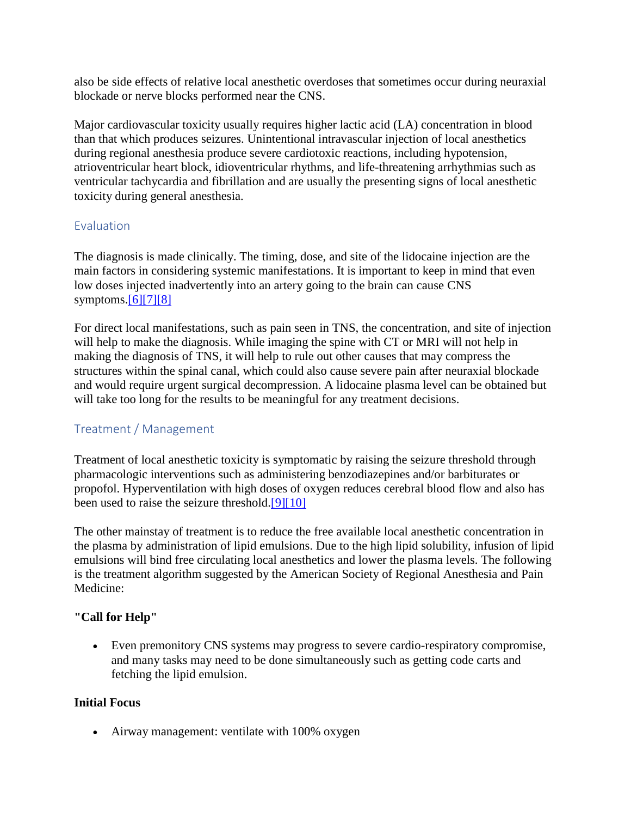also be side effects of relative local anesthetic overdoses that sometimes occur during neuraxial blockade or nerve blocks performed near the CNS.

Major cardiovascular toxicity usually requires higher lactic acid (LA) concentration in blood than that which produces seizures. Unintentional intravascular injection of local anesthetics during regional anesthesia produce severe cardiotoxic reactions, including hypotension, atrioventricular heart block, idioventricular rhythms, and life-threatening arrhythmias such as ventricular tachycardia and fibrillation and are usually the presenting signs of local anesthetic toxicity during general anesthesia.

#### **Evaluation**

The diagnosis is made clinically. The timing, dose, and site of the lidocaine injection are the main factors in considering systemic manifestations. It is important to keep in mind that even low doses injected inadvertently into an artery going to the brain can cause CNS symptoms. $[6][7][8]$ 

For direct local manifestations, such as pain seen in TNS, the concentration, and site of injection will help to make the diagnosis. While imaging the spine with CT or MRI will not help in making the diagnosis of TNS, it will help to rule out other causes that may compress the structures within the spinal canal, which could also cause severe pain after neuraxial blockade and would require urgent surgical decompression. A lidocaine plasma level can be obtained but will take too long for the results to be meaningful for any treatment decisions.

## Treatment / Management

Treatment of local anesthetic toxicity is symptomatic by raising the seizure threshold through pharmacologic interventions such as administering benzodiazepines and/or barbiturates or propofol. Hyperventilation with high doses of oxygen reduces cerebral blood flow and also has been used to raise the seizure threshold[.\[9\]\[10\]](https://www.ncbi.nlm.nih.gov/books/NBK482479/)

The other mainstay of treatment is to reduce the free available local anesthetic concentration in the plasma by administration of lipid emulsions. Due to the high lipid solubility, infusion of lipid emulsions will bind free circulating local anesthetics and lower the plasma levels. The following is the treatment algorithm suggested by the American Society of Regional Anesthesia and Pain Medicine:

## **"Call for Help"**

• Even premonitory CNS systems may progress to severe cardio-respiratory compromise, and many tasks may need to be done simultaneously such as getting code carts and fetching the lipid emulsion.

## **Initial Focus**

• Airway management: ventilate with 100% oxygen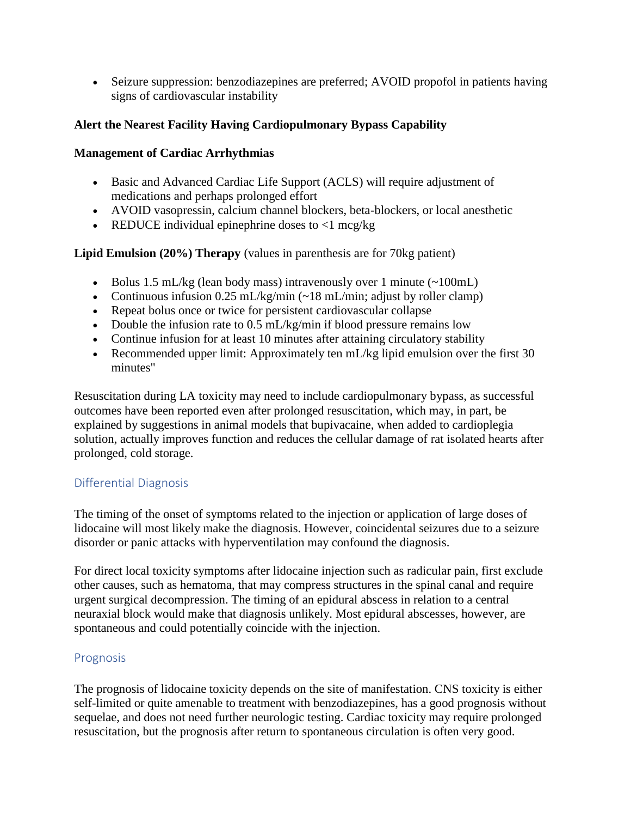• Seizure suppression: benzodiazepines are preferred; AVOID propofol in patients having signs of cardiovascular instability

#### **Alert the Nearest Facility Having Cardiopulmonary Bypass Capability**

#### **Management of Cardiac Arrhythmias**

- Basic and Advanced Cardiac Life Support (ACLS) will require adjustment of medications and perhaps prolonged effort
- AVOID vasopressin, calcium channel blockers, beta-blockers, or local anesthetic
- REDUCE individual epinephrine doses to  $\langle$ 1 mcg/kg

## **Lipid Emulsion (20%) Therapy** (values in parenthesis are for 70kg patient)

- Bolus 1.5 mL/kg (lean body mass) intravenously over 1 minute  $(\sim 100$ mL)
- Continuous infusion 0.25 mL/kg/min  $\left(\frac{18 \text{ mL}}{\text{min}}\right)$  adjust by roller clamp)
- Repeat bolus once or twice for persistent cardiovascular collapse
- Double the infusion rate to 0.5 mL/kg/min if blood pressure remains low
- Continue infusion for at least 10 minutes after attaining circulatory stability
- Recommended upper limit: Approximately ten mL/kg lipid emulsion over the first 30 minutes"

Resuscitation during LA toxicity may need to include cardiopulmonary bypass, as successful outcomes have been reported even after prolonged resuscitation, which may, in part, be explained by suggestions in animal models that bupivacaine, when added to cardioplegia solution, actually improves function and reduces the cellular damage of rat isolated hearts after prolonged, cold storage.

## Differential Diagnosis

The timing of the onset of symptoms related to the injection or application of large doses of lidocaine will most likely make the diagnosis. However, coincidental seizures due to a seizure disorder or panic attacks with hyperventilation may confound the diagnosis.

For direct local toxicity symptoms after lidocaine injection such as radicular pain, first exclude other causes, such as hematoma, that may compress structures in the spinal canal and require urgent surgical decompression. The timing of an epidural abscess in relation to a central neuraxial block would make that diagnosis unlikely. Most epidural abscesses, however, are spontaneous and could potentially coincide with the injection.

## Prognosis

The prognosis of lidocaine toxicity depends on the site of manifestation. CNS toxicity is either self-limited or quite amenable to treatment with benzodiazepines, has a good prognosis without sequelae, and does not need further neurologic testing. Cardiac toxicity may require prolonged resuscitation, but the prognosis after return to spontaneous circulation is often very good.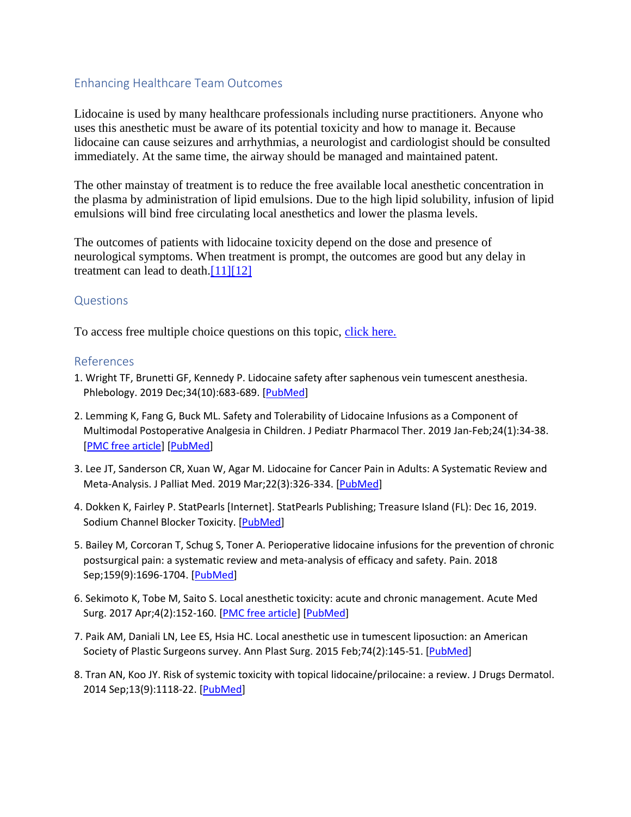#### Enhancing Healthcare Team Outcomes

Lidocaine is used by many healthcare professionals including nurse practitioners. Anyone who uses this anesthetic must be aware of its potential toxicity and how to manage it. Because lidocaine can cause seizures and arrhythmias, a neurologist and cardiologist should be consulted immediately. At the same time, the airway should be managed and maintained patent.

The other mainstay of treatment is to reduce the free available local anesthetic concentration in the plasma by administration of lipid emulsions. Due to the high lipid solubility, infusion of lipid emulsions will bind free circulating local anesthetics and lower the plasma levels.

The outcomes of patients with lidocaine toxicity depend on the dose and presence of neurological symptoms. When treatment is prompt, the outcomes are good but any delay in treatment can lead to death.<sup>[11][12]</sup>

#### **Questions**

To access free multiple choice questions on this topic, [click here.](https://www.statpearls.com/kb/viewarticle/30395?utm_source=pubmed)

#### References

- 1. Wright TF, Brunetti GF, Kennedy P. Lidocaine safety after saphenous vein tumescent anesthesia. Phlebology. 2019 Dec;34(10):683-689. [\[PubMed\]](https://www.ncbi.nlm.nih.gov/pubmed/30871437)
- 2. Lemming K, Fang G, Buck ML. Safety and Tolerability of Lidocaine Infusions as a Component of Multimodal Postoperative Analgesia in Children. J Pediatr Pharmacol Ther. 2019 Jan-Feb;24(1):34-38. [\[PMC free article\]](https://www.ncbi.nlm.nih.gov/pmc/articles/PMC6397014/) [\[PubMed\]](https://www.ncbi.nlm.nih.gov/pubmed/30837812)
- 3. Lee JT, Sanderson CR, Xuan W, Agar M. Lidocaine for Cancer Pain in Adults: A Systematic Review and Meta-Analysis. J Palliat Med. 2019 Mar;22(3):326-334. [\[PubMed\]](https://www.ncbi.nlm.nih.gov/pubmed/30614748)
- 4. Dokken K, Fairley P. StatPearls [Internet]. StatPearls Publishing; Treasure Island (FL): Dec 16, 2019. Sodium Channel Blocker Toxicity. [\[PubMed\]](https://www.ncbi.nlm.nih.gov/pubmed/30521265)
- 5. Bailey M, Corcoran T, Schug S, Toner A. Perioperative lidocaine infusions for the prevention of chronic postsurgical pain: a systematic review and meta-analysis of efficacy and safety. Pain. 2018 Sep;159(9):1696-1704. [\[PubMed\]](https://www.ncbi.nlm.nih.gov/pubmed/29757886)
- 6. Sekimoto K, Tobe M, Saito S. Local anesthetic toxicity: acute and chronic management. Acute Med Surg. 2017 Apr;4(2):152-160. [\[PMC free article\]](https://www.ncbi.nlm.nih.gov/pmc/articles/PMC5667269/) [\[PubMed\]](https://www.ncbi.nlm.nih.gov/pubmed/29123854)
- 7. Paik AM, Daniali LN, Lee ES, Hsia HC. Local anesthetic use in tumescent liposuction: an American Society of Plastic Surgeons survey. Ann Plast Surg. 2015 Feb;74(2):145-51. [\[PubMed\]](https://www.ncbi.nlm.nih.gov/pubmed/25590254)
- 8. Tran AN, Koo JY. Risk of systemic toxicity with topical lidocaine/prilocaine: a review. J Drugs Dermatol. 2014 Sep;13(9):1118-22. [\[PubMed\]](https://www.ncbi.nlm.nih.gov/pubmed/25226014)